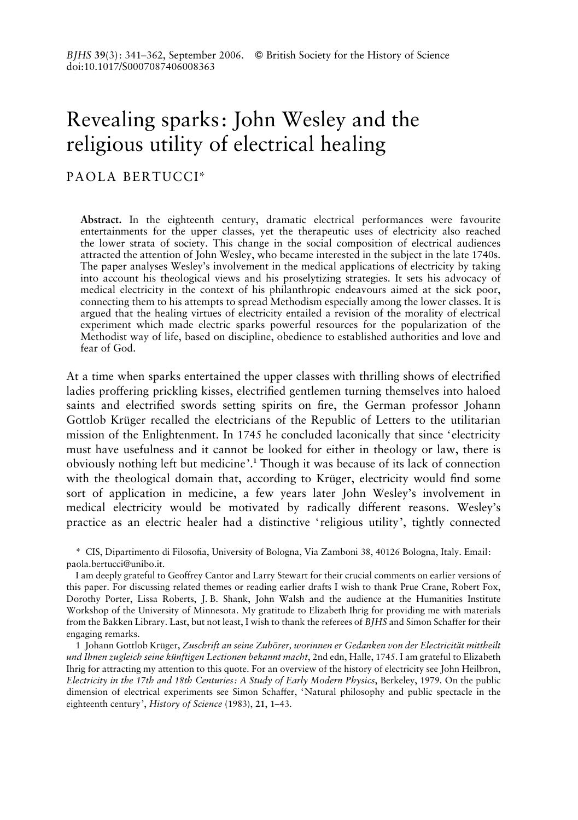# Revealing sparks: John Wesley and the religious utility of electrical healing

## PAOLA BERTUCCI\*

Abstract. In the eighteenth century, dramatic electrical performances were favourite entertainments for the upper classes, yet the therapeutic uses of electricity also reached the lower strata of society. This change in the social composition of electrical audiences attracted the attention of John Wesley, who became interested in the subject in the late 1740s. The paper analyses Wesley's involvement in the medical applications of electricity by taking into account his theological views and his proselytizing strategies. It sets his advocacy of medical electricity in the context of his philanthropic endeavours aimed at the sick poor, connecting them to his attempts to spread Methodism especially among the lower classes. It is argued that the healing virtues of electricity entailed a revision of the morality of electrical experiment which made electric sparks powerful resources for the popularization of the Methodist way of life, based on discipline, obedience to established authorities and love and fear of God.

At a time when sparks entertained the upper classes with thrilling shows of electrified ladies proffering prickling kisses, electrified gentlemen turning themselves into haloed saints and electrified swords setting spirits on fire, the German professor Johann Gottlob Krüger recalled the electricians of the Republic of Letters to the utilitarian mission of the Enlightenment. In 1745 he concluded laconically that since 'electricity must have usefulness and it cannot be looked for either in theology or law, there is obviously nothing left but medicine'.<sup>1</sup> Though it was because of its lack of connection with the theological domain that, according to Krüger, electricity would find some sort of application in medicine, a few years later John Wesley's involvement in medical electricity would be motivated by radically different reasons. Wesley's practice as an electric healer had a distinctive ' religious utility', tightly connected

\* CIS, Dipartimento di Filosofia, University of Bologna, Via Zamboni 38, 40126 Bologna, Italy. Email: paola.bertucci@unibo.it.

I am deeply grateful to Geoffrey Cantor and Larry Stewart for their crucial comments on earlier versions of this paper. For discussing related themes or reading earlier drafts I wish to thank Prue Crane, Robert Fox, Dorothy Porter, Lissa Roberts, J. B. Shank, John Walsh and the audience at the Humanities Institute Workshop of the University of Minnesota. My gratitude to Elizabeth Ihrig for providing me with materials from the Bakken Library. Last, but not least, I wish to thank the referees of BJHS and Simon Schaffer for their engaging remarks.

1 Johann Gottlob Krüger, Zuschrift an seine Zuhörer, worinnen er Gedanken von der Electricität mittheilt und Ihnen zugleich seine künftigen Lectionen bekannt macht, 2nd edn, Halle, 1745. I am grateful to Elizabeth Ihrig for attracting my attention to this quote. For an overview of the history of electricity see John Heilbron, Electricity in the 17th and 18th Centuries: A Study of Early Modern Physics, Berkeley, 1979. On the public dimension of electrical experiments see Simon Schaffer, 'Natural philosophy and public spectacle in the eighteenth century', History of Science (1983), 21, 1–43.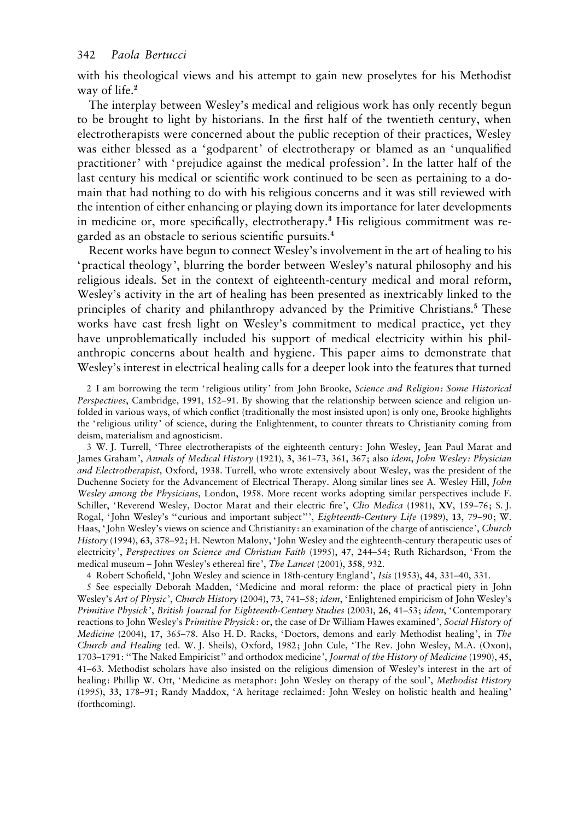with his theological views and his attempt to gain new proselytes for his Methodist way of life.<sup>2</sup>

The interplay between Wesley's medical and religious work has only recently begun to be brought to light by historians. In the first half of the twentieth century, when electrotherapists were concerned about the public reception of their practices, Wesley was either blessed as a ' godparent' of electrotherapy or blamed as an 'unqualified practitioner' with 'prejudice against the medical profession'. In the latter half of the last century his medical or scientific work continued to be seen as pertaining to a domain that had nothing to do with his religious concerns and it was still reviewed with the intention of either enhancing or playing down its importance for later developments in medicine or, more specifically, electrotherapy.<sup>3</sup> His religious commitment was regarded as an obstacle to serious scientific pursuits.<sup>4</sup>

Recent works have begun to connect Wesley's involvement in the art of healing to his 'practical theology', blurring the border between Wesley's natural philosophy and his religious ideals. Set in the context of eighteenth-century medical and moral reform, Wesley's activity in the art of healing has been presented as inextricably linked to the principles of charity and philanthropy advanced by the Primitive Christians.<sup>5</sup> These works have cast fresh light on Wesley's commitment to medical practice, yet they have unproblematically included his support of medical electricity within his philanthropic concerns about health and hygiene. This paper aims to demonstrate that Wesley's interest in electrical healing calls for a deeper look into the features that turned

2 I am borrowing the term 'religious utility' from John Brooke, Science and Religion: Some Historical Perspectives, Cambridge, 1991, 152–91. By showing that the relationship between science and religion unfolded in various ways, of which conflict (traditionally the most insisted upon) is only one, Brooke highlights the ' religious utility' of science, during the Enlightenment, to counter threats to Christianity coming from deism, materialism and agnosticism.

3 W. J. Turrell, 'Three electrotherapists of the eighteenth century: John Wesley, Jean Paul Marat and James Graham', Annals of Medical History (1921), 3, 361–73, 361, 367; also idem, John Wesley: Physician and Electrotherapist, Oxford, 1938. Turrell, who wrote extensively about Wesley, was the president of the Duchenne Society for the Advancement of Electrical Therapy. Along similar lines see A. Wesley Hill, John Wesley among the Physicians, London, 1958. More recent works adopting similar perspectives include F. Schiller, 'Reverend Wesley, Doctor Marat and their electric fire', Clio Medica (1981), XV, 159–76; S. J. Rogal, ' John Wesley's ''curious and important subject''', Eighteenth-Century Life (1989), 13, 79–90; W. Haas, 'John Wesley's views on science and Christianity: an examination of the charge of antiscience', Church History (1994), 63, 378–92; H. Newton Malony, ' John Wesley and the eighteenth-century therapeutic uses of electricity', Perspectives on Science and Christian Faith (1995), 47, 244–54; Ruth Richardson, 'From the medical museum – John Wesley's ethereal fire', The Lancet (2001), 358, 932.

4 Robert Schofield, ' John Wesley and science in 18th-century England', Isis (1953), 44, 331–40, 331.

5 See especially Deborah Madden, 'Medicine and moral reform: the place of practical piety in John Wesley's Art of Physic', Church History (2004), 73, 741–58; idem, 'Enlightened empiricism of John Wesley's Primitive Physick', British Journal for Eighteenth-Century Studies (2003), 26, 41–53; idem, 'Contemporary reactions to John Wesley's Primitive Physick: or, the case of Dr William Hawes examined', Social History of Medicine (2004), 17, 365–78. Also H. D. Racks, 'Doctors, demons and early Methodist healing', in The Church and Healing (ed. W. J. Sheils), Oxford, 1982; John Cule, 'The Rev. John Wesley, M.A. (Oxon), 1703–1791: "The Naked Empiricist" and orthodox medicine', Journal of the History of Medicine (1990), 45, 41–63. Methodist scholars have also insisted on the religious dimension of Wesley's interest in the art of healing: Phillip W. Ott, 'Medicine as metaphor: John Wesley on therapy of the soul', Methodist History (1995), 33, 178–91; Randy Maddox, 'A heritage reclaimed: John Wesley on holistic health and healing' (forthcoming).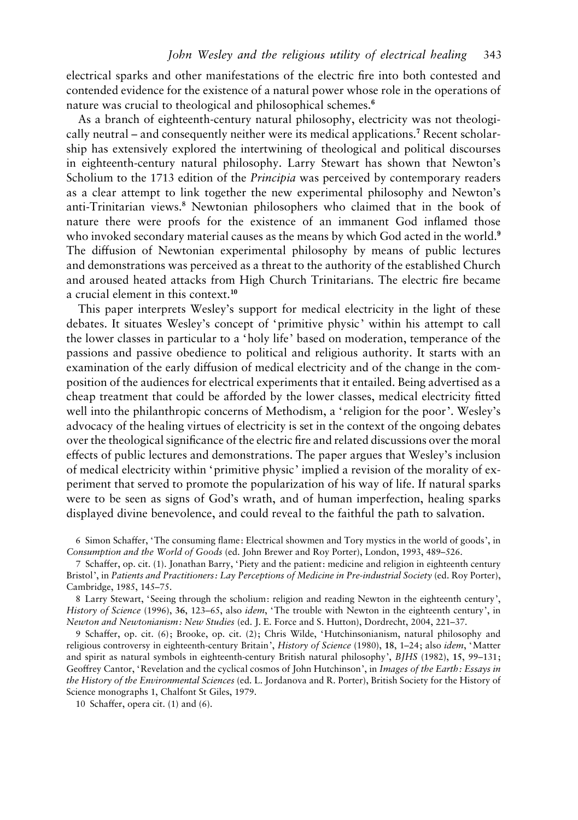electrical sparks and other manifestations of the electric fire into both contested and contended evidence for the existence of a natural power whose role in the operations of nature was crucial to theological and philosophical schemes.<sup>6</sup>

As a branch of eighteenth-century natural philosophy, electricity was not theologically neutral – and consequently neither were its medical applications.<sup>7</sup> Recent scholarship has extensively explored the intertwining of theological and political discourses in eighteenth-century natural philosophy. Larry Stewart has shown that Newton's Scholium to the 1713 edition of the *Principia* was perceived by contemporary readers as a clear attempt to link together the new experimental philosophy and Newton's anti-Trinitarian views.<sup>8</sup> Newtonian philosophers who claimed that in the book of nature there were proofs for the existence of an immanent God inflamed those who invoked secondary material causes as the means by which God acted in the world.<sup>9</sup> The diffusion of Newtonian experimental philosophy by means of public lectures and demonstrations was perceived as a threat to the authority of the established Church and aroused heated attacks from High Church Trinitarians. The electric fire became a crucial element in this context.<sup>10</sup>

This paper interprets Wesley's support for medical electricity in the light of these debates. It situates Wesley's concept of 'primitive physic' within his attempt to call the lower classes in particular to a 'holy life' based on moderation, temperance of the passions and passive obedience to political and religious authority. It starts with an examination of the early diffusion of medical electricity and of the change in the composition of the audiences for electrical experiments that it entailed. Being advertised as a cheap treatment that could be afforded by the lower classes, medical electricity fitted well into the philanthropic concerns of Methodism, a ' religion for the poor'. Wesley's advocacy of the healing virtues of electricity is set in the context of the ongoing debates over the theological significance of the electric fire and related discussions over the moral effects of public lectures and demonstrations. The paper argues that Wesley's inclusion of medical electricity within 'primitive physic' implied a revision of the morality of experiment that served to promote the popularization of his way of life. If natural sparks were to be seen as signs of God's wrath, and of human imperfection, healing sparks displayed divine benevolence, and could reveal to the faithful the path to salvation.

6 Simon Schaffer, 'The consuming flame: Electrical showmen and Tory mystics in the world of goods', in Consumption and the World of Goods (ed. John Brewer and Roy Porter), London, 1993, 489–526.

7 Schaffer, op. cit. (1). Jonathan Barry, 'Piety and the patient: medicine and religion in eighteenth century Bristol', in Patients and Practitioners: Lay Perceptions of Medicine in Pre-industrial Society (ed. Roy Porter), Cambridge, 1985, 145–75.

8 Larry Stewart, 'Seeing through the scholium: religion and reading Newton in the eighteenth century', History of Science (1996), 36, 123–65, also idem, 'The trouble with Newton in the eighteenth century', in Newton and Newtonianism: New Studies (ed. J. E. Force and S. Hutton), Dordrecht, 2004, 221–37.

9 Schaffer, op. cit. (6); Brooke, op. cit. (2); Chris Wilde, 'Hutchinsonianism, natural philosophy and religious controversy in eighteenth-century Britain', History of Science (1980), 18, 1–24; also idem, 'Matter and spirit as natural symbols in eighteenth-century British natural philosophy', BJHS (1982), 15, 99–131; Geoffrey Cantor, 'Revelation and the cyclical cosmos of John Hutchinson', in Images of the Earth: Essays in the History of the Environmental Sciences (ed. L. Jordanova and R. Porter), British Society for the History of Science monographs 1, Chalfont St Giles, 1979.

10 Schaffer, opera cit. (1) and (6).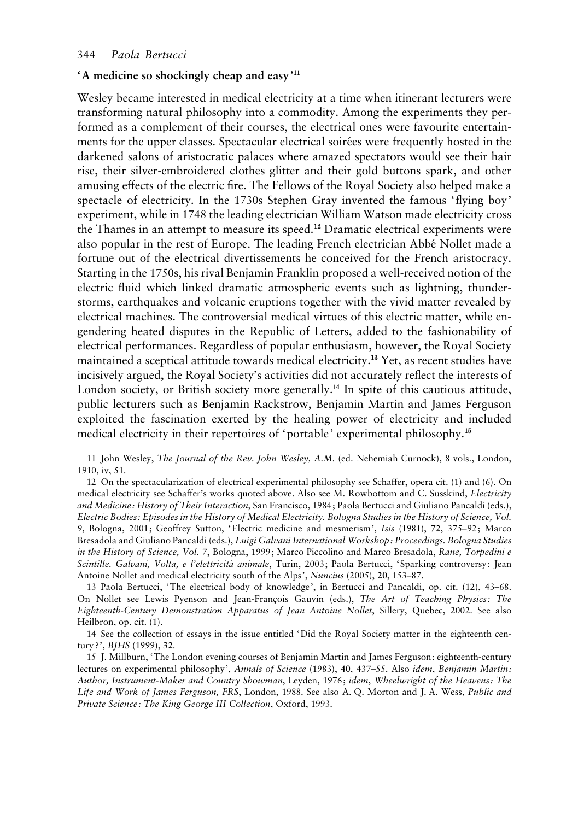#### 'A medicine so shockingly cheap and easy'<sup>11</sup>

Wesley became interested in medical electricity at a time when itinerant lecturers were transforming natural philosophy into a commodity. Among the experiments they performed as a complement of their courses, the electrical ones were favourite entertainments for the upper classes. Spectacular electrical soirées were frequently hosted in the darkened salons of aristocratic palaces where amazed spectators would see their hair rise, their silver-embroidered clothes glitter and their gold buttons spark, and other amusing effects of the electric fire. The Fellows of the Royal Society also helped make a spectacle of electricity. In the 1730s Stephen Gray invented the famous 'flying boy' experiment, while in 1748 the leading electrician William Watson made electricity cross the Thames in an attempt to measure its speed.<sup>12</sup> Dramatic electrical experiments were also popular in the rest of Europe. The leading French electrician Abbé Nollet made a fortune out of the electrical divertissements he conceived for the French aristocracy. Starting in the 1750s, his rival Benjamin Franklin proposed a well-received notion of the electric fluid which linked dramatic atmospheric events such as lightning, thunderstorms, earthquakes and volcanic eruptions together with the vivid matter revealed by electrical machines. The controversial medical virtues of this electric matter, while engendering heated disputes in the Republic of Letters, added to the fashionability of electrical performances. Regardless of popular enthusiasm, however, the Royal Society maintained a sceptical attitude towards medical electricity.<sup>13</sup> Yet, as recent studies have incisively argued, the Royal Society's activities did not accurately reflect the interests of London society, or British society more generally.<sup>14</sup> In spite of this cautious attitude, public lecturers such as Benjamin Rackstrow, Benjamin Martin and James Ferguson exploited the fascination exerted by the healing power of electricity and included medical electricity in their repertoires of 'portable' experimental philosophy.<sup>15</sup>

11 John Wesley, The Journal of the Rev. John Wesley, A.M. (ed. Nehemiah Curnock), 8 vols., London, 1910, iv, 51.

12 On the spectacularization of electrical experimental philosophy see Schaffer, opera cit. (1) and (6). On medical electricity see Schaffer's works quoted above. Also see M. Rowbottom and C. Susskind, Electricity and Medicine: History of Their Interaction, San Francisco, 1984; Paola Bertucci and Giuliano Pancaldi (eds.), Electric Bodies: Episodes in the History of Medical Electricity. Bologna Studies in the History of Science, Vol. 9, Bologna, 2001; Geoffrey Sutton, 'Electric medicine and mesmerism', Isis (1981), 72, 375–92; Marco Bresadola and Giuliano Pancaldi (eds.), Luigi Galvani International Workshop: Proceedings. Bologna Studies in the History of Science, Vol. 7, Bologna, 1999; Marco Piccolino and Marco Bresadola, Rane, Torpedini e Scintille. Galvani, Volta, e l'elettricità animale, Turin, 2003; Paola Bertucci, 'Sparking controversy: Jean Antoine Nollet and medical electricity south of the Alps', Nuncius (2005), 20, 153–87.

13 Paola Bertucci, 'The electrical body of knowledge', in Bertucci and Pancaldi, op. cit. (12), 43–68. On Nollet see Lewis Pyenson and Jean-François Gauvin (eds.), The Art of Teaching Physics: The Eighteenth-Century Demonstration Apparatus of Jean Antoine Nollet, Sillery, Quebec, 2002. See also Heilbron, op. cit. (1).

14 See the collection of essays in the issue entitled 'Did the Royal Society matter in the eighteenth century?', BJHS (1999), 32.

15 J. Millburn, 'The London evening courses of Benjamin Martin and James Ferguson: eighteenth-century lectures on experimental philosophy', Annals of Science (1983), 40, 437-55. Also idem, Benjamin Martin: Author, Instrument-Maker and Country Showman, Leyden, 1976; idem, Wheelwright of the Heavens: The Life and Work of James Ferguson, FRS, London, 1988. See also A. Q. Morton and J. A. Wess, Public and Private Science: The King George III Collection, Oxford, 1993.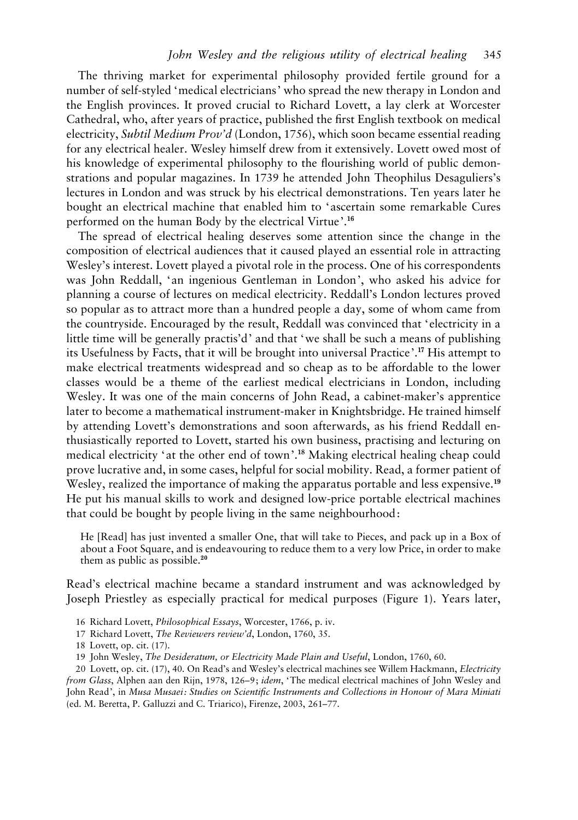The thriving market for experimental philosophy provided fertile ground for a number of self-styled 'medical electricians' who spread the new therapy in London and the English provinces. It proved crucial to Richard Lovett, a lay clerk at Worcester Cathedral, who, after years of practice, published the first English textbook on medical electricity, Subtil Medium Prov'd (London, 1756), which soon became essential reading for any electrical healer. Wesley himself drew from it extensively. Lovett owed most of his knowledge of experimental philosophy to the flourishing world of public demonstrations and popular magazines. In 1739 he attended John Theophilus Desaguliers's lectures in London and was struck by his electrical demonstrations. Ten years later he bought an electrical machine that enabled him to ' ascertain some remarkable Cures performed on the human Body by the electrical Virtue'.<sup>16</sup>

The spread of electrical healing deserves some attention since the change in the composition of electrical audiences that it caused played an essential role in attracting Wesley's interest. Lovett played a pivotal role in the process. One of his correspondents was John Reddall, 'an ingenious Gentleman in London', who asked his advice for planning a course of lectures on medical electricity. Reddall's London lectures proved so popular as to attract more than a hundred people a day, some of whom came from the countryside. Encouraged by the result, Reddall was convinced that 'electricity in a little time will be generally practis'd' and that 'we shall be such a means of publishing its Usefulness by Facts, that it will be brought into universal Practice'.<sup>17</sup> His attempt to make electrical treatments widespread and so cheap as to be affordable to the lower classes would be a theme of the earliest medical electricians in London, including Wesley. It was one of the main concerns of John Read, a cabinet-maker's apprentice later to become a mathematical instrument-maker in Knightsbridge. He trained himself by attending Lovett's demonstrations and soon afterwards, as his friend Reddall enthusiastically reported to Lovett, started his own business, practising and lecturing on medical electricity ' at the other end of town'.<sup>18</sup> Making electrical healing cheap could prove lucrative and, in some cases, helpful for social mobility. Read, a former patient of Wesley, realized the importance of making the apparatus portable and less expensive.<sup>19</sup> He put his manual skills to work and designed low-price portable electrical machines that could be bought by people living in the same neighbourhood:

He [Read] has just invented a smaller One, that will take to Pieces, and pack up in a Box of about a Foot Square, and is endeavouring to reduce them to a very low Price, in order to make them as public as possible.<sup>20</sup>

Read's electrical machine became a standard instrument and was acknowledged by Joseph Priestley as especially practical for medical purposes (Figure 1). Years later,

- 16 Richard Lovett, Philosophical Essays, Worcester, 1766, p. iv.
- 17 Richard Lovett, The Reviewers review'd, London, 1760, 35.

19 John Wesley, The Desideratum, or Electricity Made Plain and Useful, London, 1760, 60.

<sup>18</sup> Lovett, op. cit. (17).

<sup>20</sup> Lovett, op. cit. (17), 40. On Read's and Wesley's electrical machines see Willem Hackmann, Electricity from Glass, Alphen aan den Rijn, 1978, 126–9; idem, 'The medical electrical machines of John Wesley and John Read', in Musa Musaei: Studies on Scientific Instruments and Collections in Honour of Mara Miniati (ed. M. Beretta, P. Galluzzi and C. Triarico), Firenze, 2003, 261–77.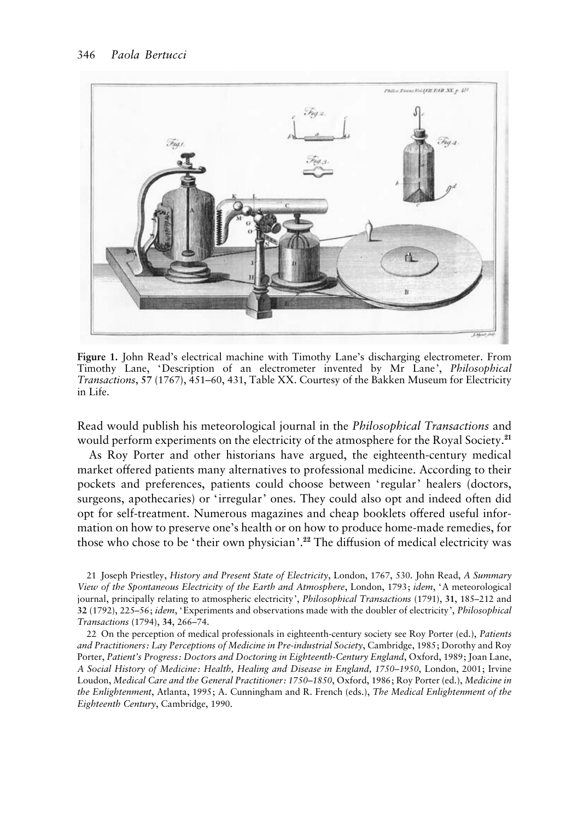

Figure 1. John Read's electrical machine with Timothy Lane's discharging electrometer. From Timothy Lane, 'Description of an electrometer invented by Mr Lane', Philosophical Transactions, 57 (1767), 451–60, 431, Table XX. Courtesy of the Bakken Museum for Electricity in Life.

Read would publish his meteorological journal in the Philosophical Transactions and would perform experiments on the electricity of the atmosphere for the Royal Society.<sup>21</sup>

As Roy Porter and other historians have argued, the eighteenth-century medical market offered patients many alternatives to professional medicine. According to their pockets and preferences, patients could choose between ' regular' healers (doctors, surgeons, apothecaries) or 'irregular' ones. They could also opt and indeed often did opt for self-treatment. Numerous magazines and cheap booklets offered useful information on how to preserve one's health or on how to produce home-made remedies, for those who chose to be 'their own physician'.<sup>22</sup> The diffusion of medical electricity was

21 Joseph Priestley, History and Present State of Electricity, London, 1767, 530. John Read, A Summary View of the Spontaneous Electricity of the Earth and Atmosphere, London, 1793; idem, 'A meteorological journal, principally relating to atmospheric electricity', Philosophical Transactions (1791), 31, 185-212 and 32 (1792), 225–56; idem, 'Experiments and observations made with the doubler of electricity', Philosophical Transactions (1794), 34, 266–74.

22 On the perception of medical professionals in eighteenth-century society see Roy Porter (ed.), Patients and Practitioners: Lay Perceptions of Medicine in Pre-industrial Society, Cambridge, 1985; Dorothy and Roy Porter, Patient's Progress: Doctors and Doctoring in Eighteenth-Century England, Oxford, 1989; Joan Lane, A Social History of Medicine: Health, Healing and Disease in England, 1750–1950, London, 2001; Irvine Loudon, Medical Care and the General Practitioner: 1750–1850, Oxford, 1986; Roy Porter (ed.), Medicine in the Enlightenment, Atlanta, 1995; A. Cunningham and R. French (eds.), The Medical Enlightenment of the Eighteenth Century, Cambridge, 1990.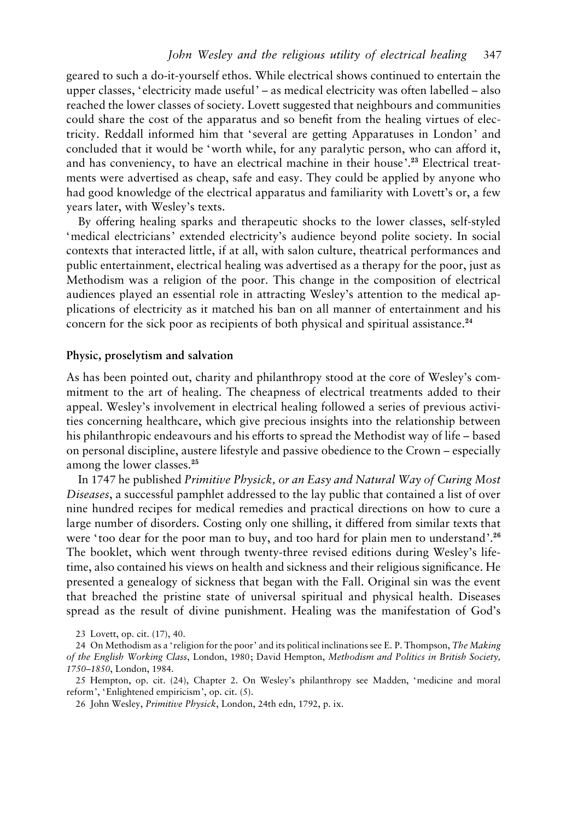geared to such a do-it-yourself ethos. While electrical shows continued to entertain the upper classes, 'electricity made useful' – as medical electricity was often labelled – also reached the lower classes of society. Lovett suggested that neighbours and communities could share the cost of the apparatus and so benefit from the healing virtues of electricity. Reddall informed him that ' several are getting Apparatuses in London' and concluded that it would be 'worth while, for any paralytic person, who can afford it, and has conveniency, to have an electrical machine in their house'.<sup>23</sup> Electrical treatments were advertised as cheap, safe and easy. They could be applied by anyone who had good knowledge of the electrical apparatus and familiarity with Lovett's or, a few years later, with Wesley's texts.

By offering healing sparks and therapeutic shocks to the lower classes, self-styled 'medical electricians' extended electricity's audience beyond polite society. In social contexts that interacted little, if at all, with salon culture, theatrical performances and public entertainment, electrical healing was advertised as a therapy for the poor, just as Methodism was a religion of the poor. This change in the composition of electrical audiences played an essential role in attracting Wesley's attention to the medical applications of electricity as it matched his ban on all manner of entertainment and his concern for the sick poor as recipients of both physical and spiritual assistance.<sup>24</sup>

#### Physic, proselytism and salvation

As has been pointed out, charity and philanthropy stood at the core of Wesley's commitment to the art of healing. The cheapness of electrical treatments added to their appeal. Wesley's involvement in electrical healing followed a series of previous activities concerning healthcare, which give precious insights into the relationship between his philanthropic endeavours and his efforts to spread the Methodist way of life – based on personal discipline, austere lifestyle and passive obedience to the Crown – especially among the lower classes.<sup>25</sup>

In 1747 he published Primitive Physick, or an Easy and Natural Way of Curing Most Diseases, a successful pamphlet addressed to the lay public that contained a list of over nine hundred recipes for medical remedies and practical directions on how to cure a large number of disorders. Costing only one shilling, it differed from similar texts that were 'too dear for the poor man to buy, and too hard for plain men to understand'.<sup>26</sup> The booklet, which went through twenty-three revised editions during Wesley's lifetime, also contained his views on health and sickness and their religious significance. He presented a genealogy of sickness that began with the Fall. Original sin was the event that breached the pristine state of universal spiritual and physical health. Diseases spread as the result of divine punishment. Healing was the manifestation of God's

<sup>23</sup> Lovett, op. cit. (17), 40.

<sup>24</sup> On Methodism as a 'religion for the poor' and its political inclinations see E. P. Thompson, The Making of the English Working Class, London, 1980; David Hempton, Methodism and Politics in British Society, 1750–1850, London, 1984.

<sup>25</sup> Hempton, op. cit. (24), Chapter 2. On Wesley's philanthropy see Madden, 'medicine and moral reform', 'Enlightened empiricism', op. cit. (5).

<sup>26</sup> John Wesley, Primitive Physick, London, 24th edn, 1792, p. ix.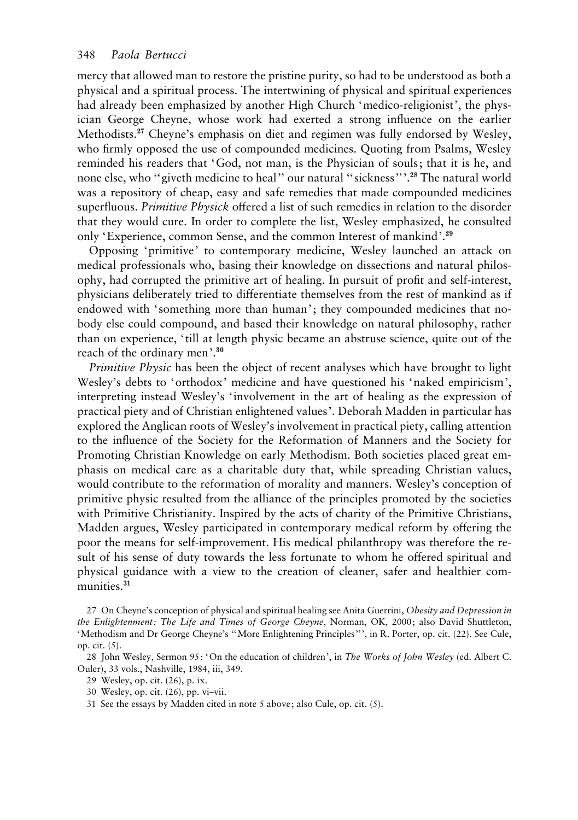mercy that allowed man to restore the pristine purity, so had to be understood as both a physical and a spiritual process. The intertwining of physical and spiritual experiences had already been emphasized by another High Church 'medico-religionist', the physician George Cheyne, whose work had exerted a strong influence on the earlier Methodists.<sup>27</sup> Cheyne's emphasis on diet and regimen was fully endorsed by Wesley, who firmly opposed the use of compounded medicines. Quoting from Psalms, Wesley reminded his readers that 'God, not man, is the Physician of souls; that it is he, and none else, who '' giveth medicine to heal'' our natural '' sickness'''.<sup>28</sup> The natural world was a repository of cheap, easy and safe remedies that made compounded medicines superfluous. Primitive Physick offered a list of such remedies in relation to the disorder that they would cure. In order to complete the list, Wesley emphasized, he consulted only 'Experience, common Sense, and the common Interest of mankind'.<sup>29</sup>

Opposing 'primitive' to contemporary medicine, Wesley launched an attack on medical professionals who, basing their knowledge on dissections and natural philosophy, had corrupted the primitive art of healing. In pursuit of profit and self-interest, physicians deliberately tried to differentiate themselves from the rest of mankind as if endowed with 'something more than human'; they compounded medicines that nobody else could compound, and based their knowledge on natural philosophy, rather than on experience, 'till at length physic became an abstruse science, quite out of the reach of the ordinary men'.<sup>30</sup>

Primitive Physic has been the object of recent analyses which have brought to light Wesley's debts to 'orthodox' medicine and have questioned his 'naked empiricism', interpreting instead Wesley's 'involvement in the art of healing as the expression of practical piety and of Christian enlightened values'. Deborah Madden in particular has explored the Anglican roots of Wesley's involvement in practical piety, calling attention to the influence of the Society for the Reformation of Manners and the Society for Promoting Christian Knowledge on early Methodism. Both societies placed great emphasis on medical care as a charitable duty that, while spreading Christian values, would contribute to the reformation of morality and manners. Wesley's conception of primitive physic resulted from the alliance of the principles promoted by the societies with Primitive Christianity. Inspired by the acts of charity of the Primitive Christians, Madden argues, Wesley participated in contemporary medical reform by offering the poor the means for self-improvement. His medical philanthropy was therefore the result of his sense of duty towards the less fortunate to whom he offered spiritual and physical guidance with a view to the creation of cleaner, safer and healthier communities.<sup>31</sup>

<sup>27</sup> On Cheyne's conception of physical and spiritual healing see Anita Guerrini, Obesity and Depression in the Enlightenment: The Life and Times of George Cheyne, Norman, OK, 2000; also David Shuttleton, 'Methodism and Dr George Cheyne's ''More Enlightening Principles''', in R. Porter, op. cit. (22). See Cule, op. cit. (5).

<sup>28</sup> John Wesley, Sermon 95: 'On the education of children', in The Works of John Wesley (ed. Albert C. Ouler), 33 vols., Nashville, 1984, iii, 349.

<sup>29</sup> Wesley, op. cit. (26), p. ix.

<sup>30</sup> Wesley, op. cit. (26), pp. vi–vii.

<sup>31</sup> See the essays by Madden cited in note 5 above; also Cule, op. cit. (5).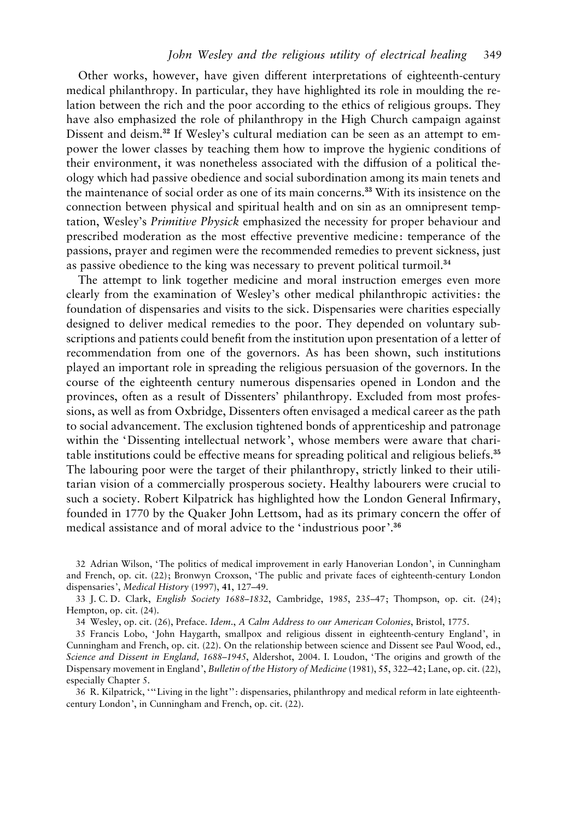Other works, however, have given different interpretations of eighteenth-century medical philanthropy. In particular, they have highlighted its role in moulding the relation between the rich and the poor according to the ethics of religious groups. They have also emphasized the role of philanthropy in the High Church campaign against Dissent and deism.<sup>32</sup> If Wesley's cultural mediation can be seen as an attempt to empower the lower classes by teaching them how to improve the hygienic conditions of their environment, it was nonetheless associated with the diffusion of a political theology which had passive obedience and social subordination among its main tenets and the maintenance of social order as one of its main concerns.<sup>33</sup> With its insistence on the connection between physical and spiritual health and on sin as an omnipresent temptation, Wesley's Primitive Physick emphasized the necessity for proper behaviour and prescribed moderation as the most effective preventive medicine: temperance of the passions, prayer and regimen were the recommended remedies to prevent sickness, just as passive obedience to the king was necessary to prevent political turmoil.<sup>34</sup>

The attempt to link together medicine and moral instruction emerges even more clearly from the examination of Wesley's other medical philanthropic activities: the foundation of dispensaries and visits to the sick. Dispensaries were charities especially designed to deliver medical remedies to the poor. They depended on voluntary subscriptions and patients could benefit from the institution upon presentation of a letter of recommendation from one of the governors. As has been shown, such institutions played an important role in spreading the religious persuasion of the governors. In the course of the eighteenth century numerous dispensaries opened in London and the provinces, often as a result of Dissenters' philanthropy. Excluded from most professions, as well as from Oxbridge, Dissenters often envisaged a medical career as the path to social advancement. The exclusion tightened bonds of apprenticeship and patronage within the 'Dissenting intellectual network', whose members were aware that charitable institutions could be effective means for spreading political and religious beliefs.<sup>35</sup> The labouring poor were the target of their philanthropy, strictly linked to their utilitarian vision of a commercially prosperous society. Healthy labourers were crucial to such a society. Robert Kilpatrick has highlighted how the London General Infirmary, founded in 1770 by the Quaker John Lettsom, had as its primary concern the offer of medical assistance and of moral advice to the 'industrious poor'.<sup>36</sup>

32 Adrian Wilson, 'The politics of medical improvement in early Hanoverian London', in Cunningham and French, op. cit. (22); Bronwyn Croxson, 'The public and private faces of eighteenth-century London dispensaries', Medical History (1997), 41, 127–49.

33 J. C. D. Clark, English Society 1688–1832, Cambridge, 1985, 235–47; Thompson, op. cit. (24); Hempton, op. cit. (24).

34 Wesley, op. cit. (26), Preface. Idem., A Calm Address to our American Colonies, Bristol, 1775.

35 Francis Lobo, 'John Haygarth, smallpox and religious dissent in eighteenth-century England', in Cunningham and French, op. cit. (22). On the relationship between science and Dissent see Paul Wood, ed., Science and Dissent in England, 1688–1945, Aldershot, 2004. I. Loudon, 'The origins and growth of the Dispensary movement in England', Bulletin of the History of Medicine (1981), 55, 322–42; Lane, op. cit. (22), especially Chapter 5.

36 R. Kilpatrick, '''Living in the light'': dispensaries, philanthropy and medical reform in late eighteenthcentury London', in Cunningham and French, op. cit. (22).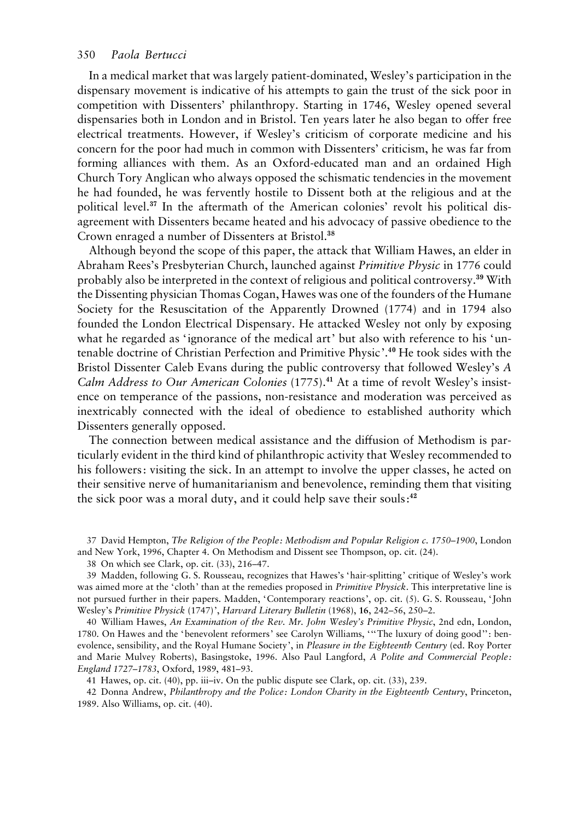In a medical market that was largely patient-dominated, Wesley's participation in the dispensary movement is indicative of his attempts to gain the trust of the sick poor in competition with Dissenters' philanthropy. Starting in 1746, Wesley opened several dispensaries both in London and in Bristol. Ten years later he also began to offer free electrical treatments. However, if Wesley's criticism of corporate medicine and his concern for the poor had much in common with Dissenters' criticism, he was far from forming alliances with them. As an Oxford-educated man and an ordained High Church Tory Anglican who always opposed the schismatic tendencies in the movement he had founded, he was fervently hostile to Dissent both at the religious and at the political level.<sup>37</sup> In the aftermath of the American colonies' revolt his political disagreement with Dissenters became heated and his advocacy of passive obedience to the Crown enraged a number of Dissenters at Bristol.<sup>38</sup>

Although beyond the scope of this paper, the attack that William Hawes, an elder in Abraham Rees's Presbyterian Church, launched against Primitive Physic in 1776 could probably also be interpreted in the context of religious and political controversy.<sup>39</sup> With the Dissenting physician Thomas Cogan, Hawes was one of the founders of the Humane Society for the Resuscitation of the Apparently Drowned (1774) and in 1794 also founded the London Electrical Dispensary. He attacked Wesley not only by exposing what he regarded as 'ignorance of the medical art' but also with reference to his 'untenable doctrine of Christian Perfection and Primitive Physic'.<sup>40</sup> He took sides with the Bristol Dissenter Caleb Evans during the public controversy that followed Wesley's A Calm Address to Our American Colonies (1775).<sup>41</sup> At a time of revolt Wesley's insistence on temperance of the passions, non-resistance and moderation was perceived as inextricably connected with the ideal of obedience to established authority which Dissenters generally opposed.

The connection between medical assistance and the diffusion of Methodism is particularly evident in the third kind of philanthropic activity that Wesley recommended to his followers: visiting the sick. In an attempt to involve the upper classes, he acted on their sensitive nerve of humanitarianism and benevolence, reminding them that visiting the sick poor was a moral duty, and it could help save their souls: $42$ 

37 David Hempton, The Religion of the People: Methodism and Popular Religion c. 1750–1900, London and New York, 1996, Chapter 4. On Methodism and Dissent see Thompson, op. cit. (24).

38 On which see Clark, op. cit. (33), 216–47.

39 Madden, following G. S. Rousseau, recognizes that Hawes's 'hair-splitting' critique of Wesley's work was aimed more at the 'cloth' than at the remedies proposed in *Primitive Physick*. This interpretative line is not pursued further in their papers. Madden, 'Contemporary reactions', op. cit. (5). G. S. Rousseau, ' John Wesley's Primitive Physick (1747)', Harvard Literary Bulletin (1968), 16, 242–56, 250–2.

40 William Hawes, An Examination of the Rev. Mr. John Wesley's Primitive Physic, 2nd edn, London, 1780. On Hawes and the 'benevolent reformers' see Carolyn Williams, '''The luxury of doing good'': benevolence, sensibility, and the Royal Humane Society', in Pleasure in the Eighteenth Century (ed. Roy Porter and Marie Mulvey Roberts), Basingstoke, 1996. Also Paul Langford, A Polite and Commercial People: England 1727–1783, Oxford, 1989, 481–93.

41 Hawes, op. cit. (40), pp. iii–iv. On the public dispute see Clark, op. cit. (33), 239.

42 Donna Andrew, Philanthropy and the Police: London Charity in the Eighteenth Century, Princeton, 1989. Also Williams, op. cit. (40).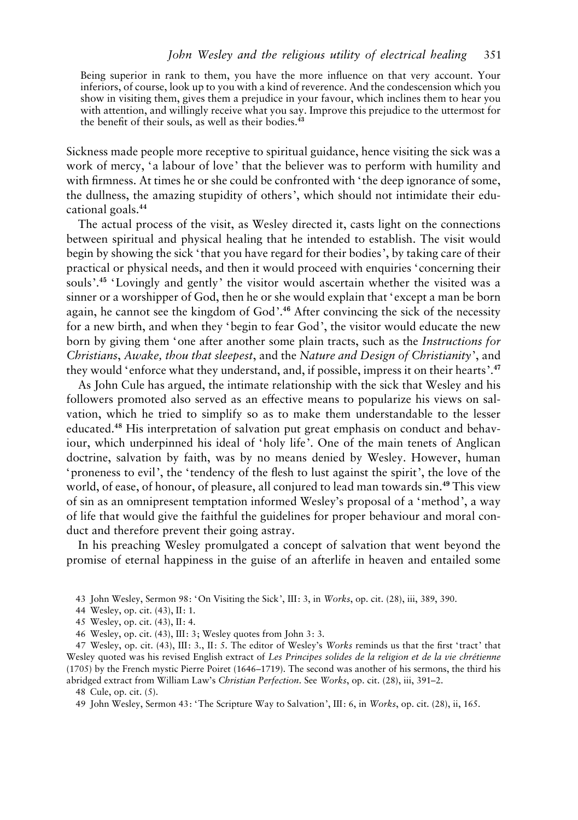Being superior in rank to them, you have the more influence on that very account. Your inferiors, of course, look up to you with a kind of reverence. And the condescension which you show in visiting them, gives them a prejudice in your favour, which inclines them to hear you with attention, and willingly receive what you say. Improve this prejudice to the uttermost for the benefit of their souls, as well as their bodies.<sup>43</sup>

Sickness made people more receptive to spiritual guidance, hence visiting the sick was a work of mercy, 'a labour of love' that the believer was to perform with humility and with firmness. At times he or she could be confronted with ' the deep ignorance of some, the dullness, the amazing stupidity of others', which should not intimidate their educational goals.<sup>44</sup>

The actual process of the visit, as Wesley directed it, casts light on the connections between spiritual and physical healing that he intended to establish. The visit would begin by showing the sick ' that you have regard for their bodies', by taking care of their practical or physical needs, and then it would proceed with enquiries 'concerning their souls'.<sup>45</sup> 'Lovingly and gently' the visitor would ascertain whether the visited was a sinner or a worshipper of God, then he or she would explain that 'except a man be born again, he cannot see the kingdom of God'.<sup>46</sup> After convincing the sick of the necessity for a new birth, and when they 'begin to fear God', the visitor would educate the new born by giving them 'one after another some plain tracts, such as the *Instructions for* Christians, Awake, thou that sleepest, and the Nature and Design of Christianity', and they would 'enforce what they understand, and, if possible, impress it on their hearts'.<sup>47</sup>

As John Cule has argued, the intimate relationship with the sick that Wesley and his followers promoted also served as an effective means to popularize his views on salvation, which he tried to simplify so as to make them understandable to the lesser educated.<sup>48</sup> His interpretation of salvation put great emphasis on conduct and behaviour, which underpinned his ideal of 'holy life'. One of the main tenets of Anglican doctrine, salvation by faith, was by no means denied by Wesley. However, human 'proneness to evil', the ' tendency of the flesh to lust against the spirit', the love of the world, of ease, of honour, of pleasure, all conjured to lead man towards sin.<sup>49</sup> This view of sin as an omnipresent temptation informed Wesley's proposal of a 'method', a way of life that would give the faithful the guidelines for proper behaviour and moral conduct and therefore prevent their going astray.

In his preaching Wesley promulgated a concept of salvation that went beyond the promise of eternal happiness in the guise of an afterlife in heaven and entailed some

43 John Wesley, Sermon 98: 'On Visiting the Sick', III: 3, in Works, op. cit. (28), iii, 389, 390.

44 Wesley, op. cit. (43), II: 1.

45 Wesley, op. cit. (43), II: 4.

46 Wesley, op. cit. (43), III: 3; Wesley quotes from John 3: 3.

47 Wesley, op. cit. (43), III: 3., II: 5. The editor of Wesley's Works reminds us that the first ' tract' that Wesley quoted was his revised English extract of Les Principes solides de la religion et de la vie chrétienne (1705) by the French mystic Pierre Poiret (1646–1719). The second was another of his sermons, the third his abridged extract from William Law's Christian Perfection. See Works, op. cit. (28), iii, 391–2.

48 Cule, op. cit. (5).

49 John Wesley, Sermon 43: 'The Scripture Way to Salvation', III: 6, in Works, op. cit. (28), ii, 165.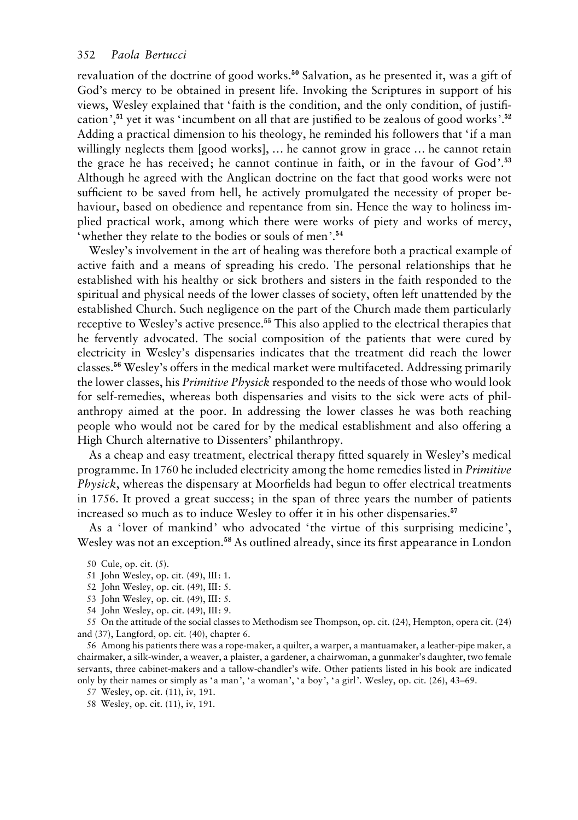revaluation of the doctrine of good works.<sup>50</sup> Salvation, as he presented it, was a gift of God's mercy to be obtained in present life. Invoking the Scriptures in support of his views, Wesley explained that ' faith is the condition, and the only condition, of justification', $51$  yet it was 'incumbent on all that are justified to be zealous of good works'. $52$ Adding a practical dimension to his theology, he reminded his followers that 'if a man willingly neglects them [good works], … he cannot grow in grace … he cannot retain the grace he has received; he cannot continue in faith, or in the favour of God'.<sup>53</sup> Although he agreed with the Anglican doctrine on the fact that good works were not sufficient to be saved from hell, he actively promulgated the necessity of proper behaviour, based on obedience and repentance from sin. Hence the way to holiness implied practical work, among which there were works of piety and works of mercy, 'whether they relate to the bodies or souls of men'.<sup>54</sup>

Wesley's involvement in the art of healing was therefore both a practical example of active faith and a means of spreading his credo. The personal relationships that he established with his healthy or sick brothers and sisters in the faith responded to the spiritual and physical needs of the lower classes of society, often left unattended by the established Church. Such negligence on the part of the Church made them particularly receptive to Wesley's active presence.<sup>55</sup> This also applied to the electrical therapies that he fervently advocated. The social composition of the patients that were cured by electricity in Wesley's dispensaries indicates that the treatment did reach the lower classes.<sup>56</sup> Wesley's offers in the medical market were multifaceted. Addressing primarily the lower classes, his Primitive Physick responded to the needs of those who would look for self-remedies, whereas both dispensaries and visits to the sick were acts of philanthropy aimed at the poor. In addressing the lower classes he was both reaching people who would not be cared for by the medical establishment and also offering a High Church alternative to Dissenters' philanthropy.

As a cheap and easy treatment, electrical therapy fitted squarely in Wesley's medical programme. In 1760 he included electricity among the home remedies listed in Primitive Physick, whereas the dispensary at Moorfields had begun to offer electrical treatments in 1756. It proved a great success; in the span of three years the number of patients increased so much as to induce Wesley to offer it in his other dispensaries.<sup>57</sup>

As a 'lover of mankind' who advocated ' the virtue of this surprising medicine', Wesley was not an exception.<sup>58</sup> As outlined already, since its first appearance in London

55 On the attitude of the social classes to Methodism see Thompson, op. cit. (24), Hempton, opera cit. (24) and (37), Langford, op. cit. (40), chapter 6.

56 Among his patients there was a rope-maker, a quilter, a warper, a mantuamaker, a leather-pipe maker, a chairmaker, a silk-winder, a weaver, a plaister, a gardener, a chairwoman, a gunmaker's daughter, two female servants, three cabinet-makers and a tallow-chandler's wife. Other patients listed in his book are indicated only by their names or simply as 'a man', 'a woman', 'a boy', 'a girl'. Wesley, op. cit. (26), 43–69.

<sup>50</sup> Cule, op. cit. (5).

<sup>51</sup> John Wesley, op. cit. (49), III: 1.

<sup>52</sup> John Wesley, op. cit. (49), III: 5.

<sup>53</sup> John Wesley, op. cit. (49), III: 5.

<sup>54</sup> John Wesley, op. cit. (49), III: 9.

<sup>57</sup> Wesley, op. cit. (11), iv, 191.

<sup>58</sup> Wesley, op. cit. (11), iv, 191.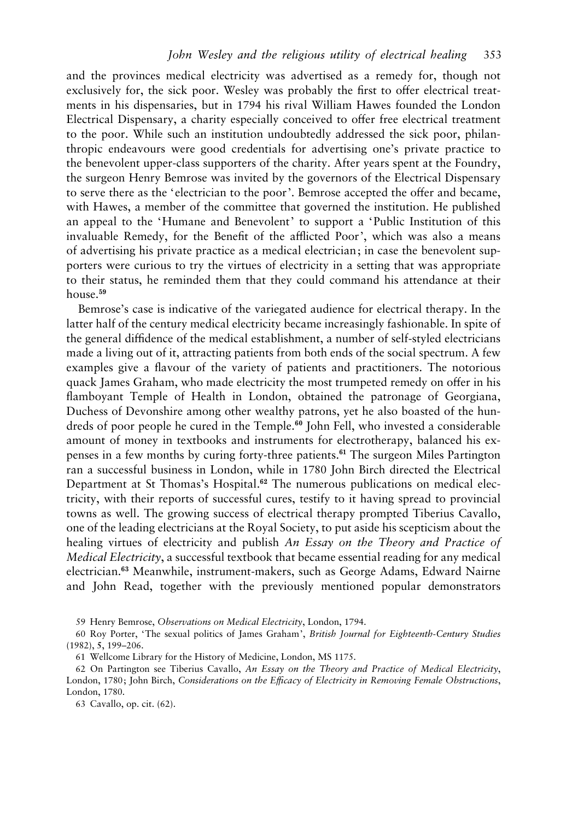and the provinces medical electricity was advertised as a remedy for, though not exclusively for, the sick poor. Wesley was probably the first to offer electrical treatments in his dispensaries, but in 1794 his rival William Hawes founded the London Electrical Dispensary, a charity especially conceived to offer free electrical treatment to the poor. While such an institution undoubtedly addressed the sick poor, philanthropic endeavours were good credentials for advertising one's private practice to the benevolent upper-class supporters of the charity. After years spent at the Foundry, the surgeon Henry Bemrose was invited by the governors of the Electrical Dispensary to serve there as the 'electrician to the poor'. Bemrose accepted the offer and became, with Hawes, a member of the committee that governed the institution. He published an appeal to the 'Humane and Benevolent' to support a 'Public Institution of this invaluable Remedy, for the Benefit of the afflicted Poor', which was also a means of advertising his private practice as a medical electrician; in case the benevolent supporters were curious to try the virtues of electricity in a setting that was appropriate to their status, he reminded them that they could command his attendance at their house.<sup>59</sup>

Bemrose's case is indicative of the variegated audience for electrical therapy. In the latter half of the century medical electricity became increasingly fashionable. In spite of the general diffidence of the medical establishment, a number of self-styled electricians made a living out of it, attracting patients from both ends of the social spectrum. A few examples give a flavour of the variety of patients and practitioners. The notorious quack James Graham, who made electricity the most trumpeted remedy on offer in his flamboyant Temple of Health in London, obtained the patronage of Georgiana, Duchess of Devonshire among other wealthy patrons, yet he also boasted of the hundreds of poor people he cured in the Temple.<sup>60</sup> John Fell, who invested a considerable amount of money in textbooks and instruments for electrotherapy, balanced his expenses in a few months by curing forty-three patients.<sup>61</sup> The surgeon Miles Partington ran a successful business in London, while in 1780 John Birch directed the Electrical Department at St Thomas's Hospital.<sup>62</sup> The numerous publications on medical electricity, with their reports of successful cures, testify to it having spread to provincial towns as well. The growing success of electrical therapy prompted Tiberius Cavallo, one of the leading electricians at the Royal Society, to put aside his scepticism about the healing virtues of electricity and publish An Essay on the Theory and Practice of Medical Electricity, a successful textbook that became essential reading for any medical electrician.<sup>63</sup> Meanwhile, instrument-makers, such as George Adams, Edward Nairne and John Read, together with the previously mentioned popular demonstrators

59 Henry Bemrose, Observations on Medical Electricity, London, 1794.

<sup>60</sup> Roy Porter, 'The sexual politics of James Graham', British Journal for Eighteenth-Century Studies (1982), 5, 199–206.

<sup>61</sup> Wellcome Library for the History of Medicine, London, MS 1175.

<sup>62</sup> On Partington see Tiberius Cavallo, An Essay on the Theory and Practice of Medical Electricity, London, 1780; John Birch, Considerations on the Efficacy of Electricity in Removing Female Obstructions, London, 1780.

<sup>63</sup> Cavallo, op. cit. (62).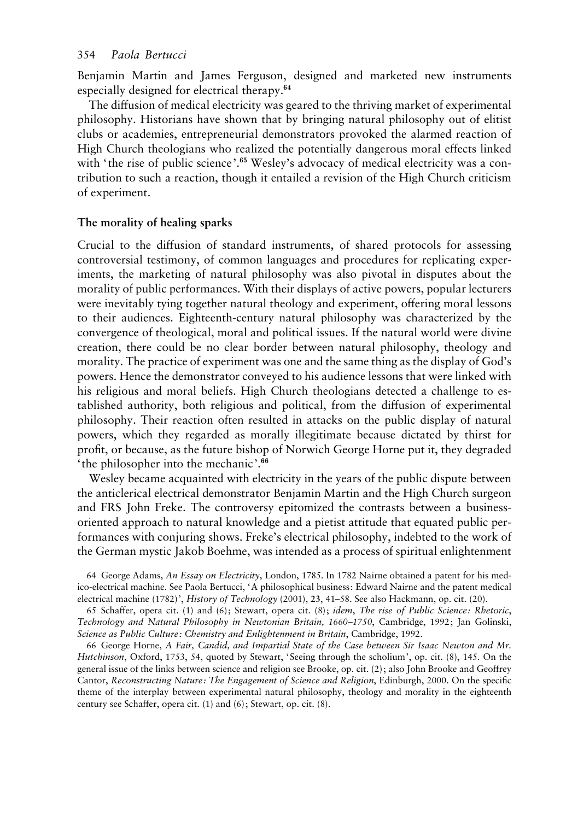Benjamin Martin and James Ferguson, designed and marketed new instruments especially designed for electrical therapy.<sup>64</sup>

The diffusion of medical electricity was geared to the thriving market of experimental philosophy. Historians have shown that by bringing natural philosophy out of elitist clubs or academies, entrepreneurial demonstrators provoked the alarmed reaction of High Church theologians who realized the potentially dangerous moral effects linked with 'the rise of public science'.<sup>65</sup> Wesley's advocacy of medical electricity was a contribution to such a reaction, though it entailed a revision of the High Church criticism of experiment.

#### The morality of healing sparks

Crucial to the diffusion of standard instruments, of shared protocols for assessing controversial testimony, of common languages and procedures for replicating experiments, the marketing of natural philosophy was also pivotal in disputes about the morality of public performances. With their displays of active powers, popular lecturers were inevitably tying together natural theology and experiment, offering moral lessons to their audiences. Eighteenth-century natural philosophy was characterized by the convergence of theological, moral and political issues. If the natural world were divine creation, there could be no clear border between natural philosophy, theology and morality. The practice of experiment was one and the same thing as the display of God's powers. Hence the demonstrator conveyed to his audience lessons that were linked with his religious and moral beliefs. High Church theologians detected a challenge to established authority, both religious and political, from the diffusion of experimental philosophy. Their reaction often resulted in attacks on the public display of natural powers, which they regarded as morally illegitimate because dictated by thirst for profit, or because, as the future bishop of Norwich George Horne put it, they degraded ' the philosopher into the mechanic'.<sup>66</sup>

Wesley became acquainted with electricity in the years of the public dispute between the anticlerical electrical demonstrator Benjamin Martin and the High Church surgeon and FRS John Freke. The controversy epitomized the contrasts between a businessoriented approach to natural knowledge and a pietist attitude that equated public performances with conjuring shows. Freke's electrical philosophy, indebted to the work of the German mystic Jakob Boehme, was intended as a process of spiritual enlightenment

64 George Adams, An Essay on Electricity, London, 1785. In 1782 Nairne obtained a patent for his medico-electrical machine. See Paola Bertucci, 'A philosophical business: Edward Nairne and the patent medical electrical machine (1782)', History of Technology (2001), 23, 41–58. See also Hackmann, op. cit. (20).

65 Schaffer, opera cit. (1) and (6); Stewart, opera cit. (8); idem, The rise of Public Science: Rhetoric, Technology and Natural Philosophy in Newtonian Britain, 1660–1750, Cambridge, 1992; Jan Golinski, Science as Public Culture: Chemistry and Enlightenment in Britain, Cambridge, 1992.

66 George Horne, A Fair, Candid, and Impartial State of the Case between Sir Isaac Newton and Mr. Hutchinson, Oxford, 1753, 54, quoted by Stewart, 'Seeing through the scholium', op. cit. (8), 145. On the general issue of the links between science and religion see Brooke, op. cit. (2); also John Brooke and Geoffrey Cantor, Reconstructing Nature: The Engagement of Science and Religion, Edinburgh, 2000. On the specific theme of the interplay between experimental natural philosophy, theology and morality in the eighteenth century see Schaffer, opera cit. (1) and (6); Stewart, op. cit. (8).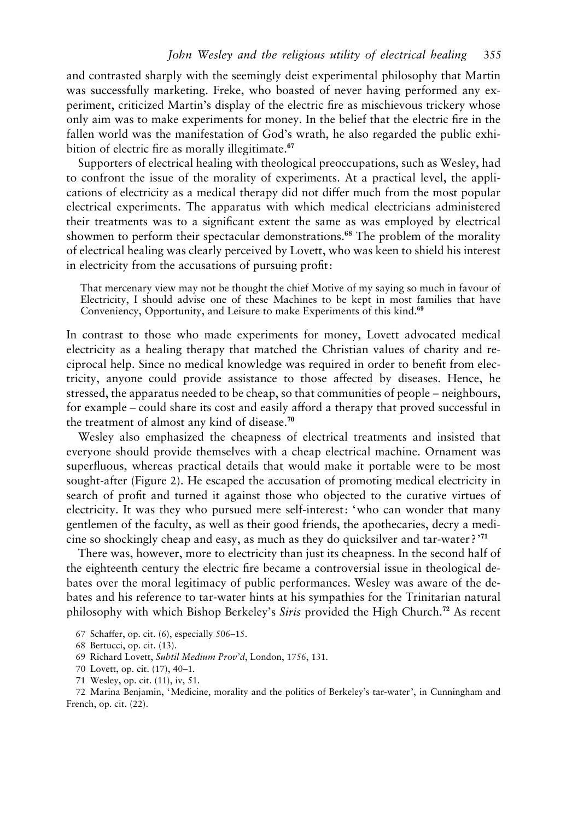and contrasted sharply with the seemingly deist experimental philosophy that Martin was successfully marketing. Freke, who boasted of never having performed any experiment, criticized Martin's display of the electric fire as mischievous trickery whose only aim was to make experiments for money. In the belief that the electric fire in the fallen world was the manifestation of God's wrath, he also regarded the public exhibition of electric fire as morally illegitimate.<sup>67</sup>

Supporters of electrical healing with theological preoccupations, such as Wesley, had to confront the issue of the morality of experiments. At a practical level, the applications of electricity as a medical therapy did not differ much from the most popular electrical experiments. The apparatus with which medical electricians administered their treatments was to a significant extent the same as was employed by electrical showmen to perform their spectacular demonstrations.<sup>68</sup> The problem of the morality of electrical healing was clearly perceived by Lovett, who was keen to shield his interest in electricity from the accusations of pursuing profit:

That mercenary view may not be thought the chief Motive of my saying so much in favour of Electricity, I should advise one of these Machines to be kept in most families that have Conveniency, Opportunity, and Leisure to make Experiments of this kind.<sup>69</sup>

In contrast to those who made experiments for money, Lovett advocated medical electricity as a healing therapy that matched the Christian values of charity and reciprocal help. Since no medical knowledge was required in order to benefit from electricity, anyone could provide assistance to those affected by diseases. Hence, he stressed, the apparatus needed to be cheap, so that communities of people – neighbours, for example – could share its cost and easily afford a therapy that proved successful in the treatment of almost any kind of disease.<sup>70</sup>

Wesley also emphasized the cheapness of electrical treatments and insisted that everyone should provide themselves with a cheap electrical machine. Ornament was superfluous, whereas practical details that would make it portable were to be most sought-after (Figure 2). He escaped the accusation of promoting medical electricity in search of profit and turned it against those who objected to the curative virtues of electricity. It was they who pursued mere self-interest: 'who can wonder that many gentlemen of the faculty, as well as their good friends, the apothecaries, decry a medicine so shockingly cheap and easy, as much as they do quicksilver and tar-water?'<sup>71</sup>

There was, however, more to electricity than just its cheapness. In the second half of the eighteenth century the electric fire became a controversial issue in theological debates over the moral legitimacy of public performances. Wesley was aware of the debates and his reference to tar-water hints at his sympathies for the Trinitarian natural philosophy with which Bishop Berkeley's Siris provided the High Church.<sup>72</sup> As recent

- 68 Bertucci, op. cit. (13).
- 69 Richard Lovett, Subtil Medium Prov'd, London, 1756, 131.
- 70 Lovett, op. cit. (17), 40–1.
- 71 Wesley, op. cit. (11), iv, 51.

72 Marina Benjamin, 'Medicine, morality and the politics of Berkeley's tar-water', in Cunningham and French, op. cit. (22).

<sup>67</sup> Schaffer, op. cit. (6), especially 506–15.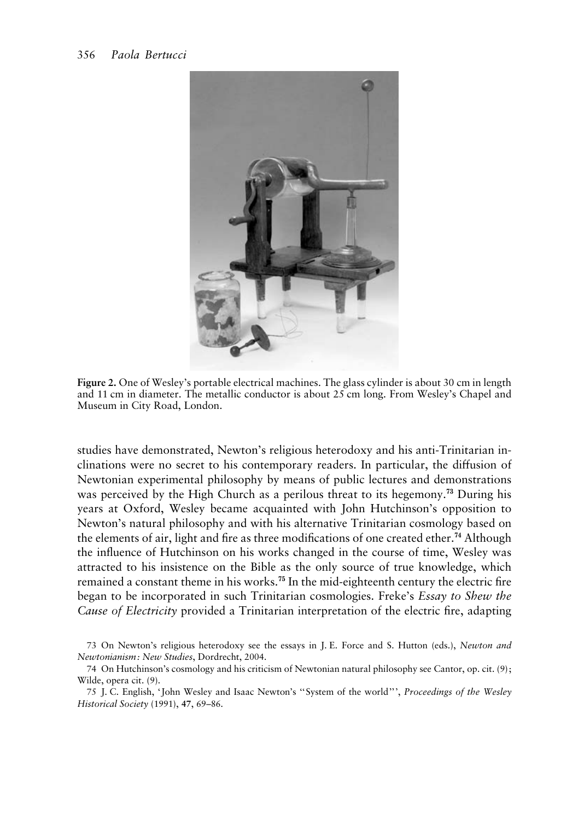

Figure 2. One of Wesley's portable electrical machines. The glass cylinder is about 30 cm in length and 11 cm in diameter. The metallic conductor is about 25 cm long. From Wesley's Chapel and Museum in City Road, London.

studies have demonstrated, Newton's religious heterodoxy and his anti-Trinitarian inclinations were no secret to his contemporary readers. In particular, the diffusion of Newtonian experimental philosophy by means of public lectures and demonstrations was perceived by the High Church as a perilous threat to its hegemony.<sup>73</sup> During his years at Oxford, Wesley became acquainted with John Hutchinson's opposition to Newton's natural philosophy and with his alternative Trinitarian cosmology based on the elements of air, light and fire as three modifications of one created ether.<sup>74</sup> Although the influence of Hutchinson on his works changed in the course of time, Wesley was attracted to his insistence on the Bible as the only source of true knowledge, which remained a constant theme in his works.<sup>75</sup> In the mid-eighteenth century the electric fire began to be incorporated in such Trinitarian cosmologies. Freke's Essay to Shew the Cause of Electricity provided a Trinitarian interpretation of the electric fire, adapting

<sup>73</sup> On Newton's religious heterodoxy see the essays in J. E. Force and S. Hutton (eds.), Newton and Newtonianism: New Studies, Dordrecht, 2004.

<sup>74</sup> On Hutchinson's cosmology and his criticism of Newtonian natural philosophy see Cantor, op. cit. (9); Wilde, opera cit. (9).

<sup>75</sup> J. C. English, 'John Wesley and Isaac Newton's ''System of the world''', Proceedings of the Wesley Historical Society (1991), 47, 69–86.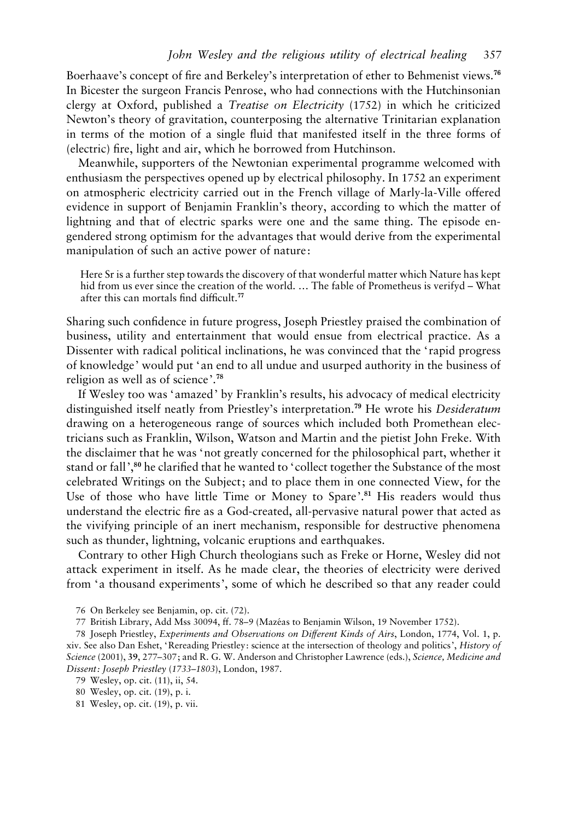Boerhaave's concept of fire and Berkeley's interpretation of ether to Behmenist views.<sup>76</sup> In Bicester the surgeon Francis Penrose, who had connections with the Hutchinsonian clergy at Oxford, published a Treatise on Electricity (1752) in which he criticized Newton's theory of gravitation, counterposing the alternative Trinitarian explanation in terms of the motion of a single fluid that manifested itself in the three forms of (electric) fire, light and air, which he borrowed from Hutchinson.

Meanwhile, supporters of the Newtonian experimental programme welcomed with enthusiasm the perspectives opened up by electrical philosophy. In 1752 an experiment on atmospheric electricity carried out in the French village of Marly-la-Ville offered evidence in support of Benjamin Franklin's theory, according to which the matter of lightning and that of electric sparks were one and the same thing. The episode engendered strong optimism for the advantages that would derive from the experimental manipulation of such an active power of nature:

Here Sr is a further step towards the discovery of that wonderful matter which Nature has kept hid from us ever since the creation of the world. … The fable of Prometheus is verifyd – What after this can mortals find difficult.<sup>77</sup>

Sharing such confidence in future progress, Joseph Priestley praised the combination of business, utility and entertainment that would ensue from electrical practice. As a Dissenter with radical political inclinations, he was convinced that the ' rapid progress of knowledge' would put ' an end to all undue and usurped authority in the business of religion as well as of science'.<sup>78</sup>

If Wesley too was 'amazed' by Franklin's results, his advocacy of medical electricity distinguished itself neatly from Priestley's interpretation.<sup>79</sup> He wrote his *Desideratum* drawing on a heterogeneous range of sources which included both Promethean electricians such as Franklin, Wilson, Watson and Martin and the pietist John Freke. With the disclaimer that he was 'not greatly concerned for the philosophical part, whether it stand or fall',<sup>80</sup> he clarified that he wanted to 'collect together the Substance of the most celebrated Writings on the Subject; and to place them in one connected View, for the Use of those who have little Time or Money to Spare'.<sup>81</sup> His readers would thus understand the electric fire as a God-created, all-pervasive natural power that acted as the vivifying principle of an inert mechanism, responsible for destructive phenomena such as thunder, lightning, volcanic eruptions and earthquakes.

Contrary to other High Church theologians such as Freke or Horne, Wesley did not attack experiment in itself. As he made clear, the theories of electricity were derived from 'a thousand experiments', some of which he described so that any reader could

<sup>76</sup> On Berkeley see Benjamin, op. cit. (72).

<sup>77</sup> British Library, Add Mss 30094, ff. 78–9 (Mazéas to Benjamin Wilson, 19 November 1752).

<sup>78</sup> Joseph Priestley, Experiments and Observations on Different Kinds of Airs, London, 1774, Vol. 1, p. xiv. See also Dan Eshet, 'Rereading Priestley: science at the intersection of theology and politics', History of Science (2001), 39, 277-307; and R. G. W. Anderson and Christopher Lawrence (eds.), Science, Medicine and Dissent: Joseph Priestley (1733–1803), London, 1987.

<sup>79</sup> Wesley, op. cit. (11), ii, 54.

<sup>80</sup> Wesley, op. cit. (19), p. i.

<sup>81</sup> Wesley, op. cit. (19), p. vii.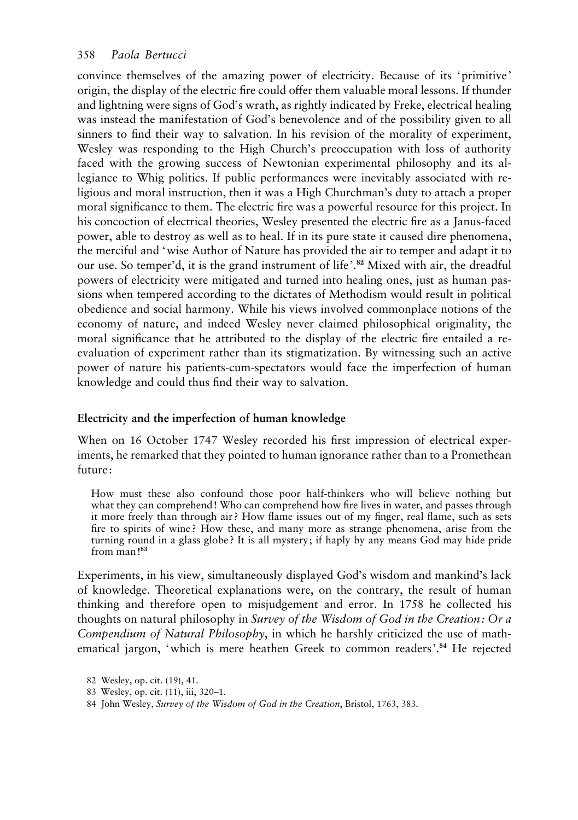convince themselves of the amazing power of electricity. Because of its 'primitive' origin, the display of the electric fire could offer them valuable moral lessons. If thunder and lightning were signs of God's wrath, as rightly indicated by Freke, electrical healing was instead the manifestation of God's benevolence and of the possibility given to all sinners to find their way to salvation. In his revision of the morality of experiment, Wesley was responding to the High Church's preoccupation with loss of authority faced with the growing success of Newtonian experimental philosophy and its allegiance to Whig politics. If public performances were inevitably associated with religious and moral instruction, then it was a High Churchman's duty to attach a proper moral significance to them. The electric fire was a powerful resource for this project. In his concoction of electrical theories, Wesley presented the electric fire as a Janus-faced power, able to destroy as well as to heal. If in its pure state it caused dire phenomena, the merciful and 'wise Author of Nature has provided the air to temper and adapt it to our use. So temper'd, it is the grand instrument of life'.<sup>82</sup> Mixed with air, the dreadful powers of electricity were mitigated and turned into healing ones, just as human passions when tempered according to the dictates of Methodism would result in political obedience and social harmony. While his views involved commonplace notions of the economy of nature, and indeed Wesley never claimed philosophical originality, the moral significance that he attributed to the display of the electric fire entailed a reevaluation of experiment rather than its stigmatization. By witnessing such an active power of nature his patients-cum-spectators would face the imperfection of human knowledge and could thus find their way to salvation.

## Electricity and the imperfection of human knowledge

When on 16 October 1747 Wesley recorded his first impression of electrical experiments, he remarked that they pointed to human ignorance rather than to a Promethean future:

How must these also confound those poor half-thinkers who will believe nothing but what they can comprehend! Who can comprehend how fire lives in water, and passes through it more freely than through air? How flame issues out of my finger, real flame, such as sets fire to spirits of wine? How these, and many more as strange phenomena, arise from the turning round in a glass globe? It is all mystery; if haply by any means God may hide pride from man!<sup>83</sup>

Experiments, in his view, simultaneously displayed God's wisdom and mankind's lack of knowledge. Theoretical explanations were, on the contrary, the result of human thinking and therefore open to misjudgement and error. In 1758 he collected his thoughts on natural philosophy in Survey of the Wisdom of God in the Creation: Or a Compendium of Natural Philosophy, in which he harshly criticized the use of mathematical jargon, 'which is mere heathen Greek to common readers'.<sup>84</sup> He rejected

<sup>82</sup> Wesley, op. cit. (19), 41.

<sup>83</sup> Wesley, op. cit. (11), iii, 320–1.

<sup>84</sup> John Wesley, Survey of the Wisdom of God in the Creation, Bristol, 1763, 383.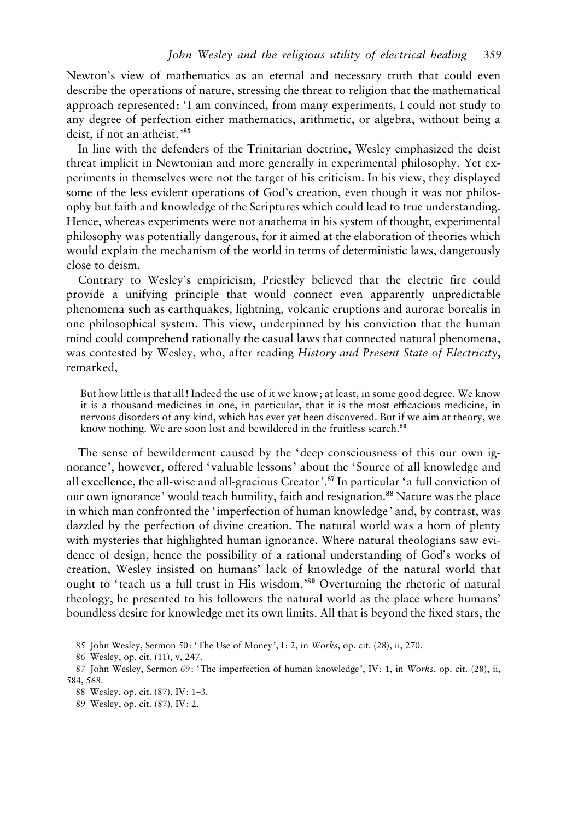Newton's view of mathematics as an eternal and necessary truth that could even describe the operations of nature, stressing the threat to religion that the mathematical approach represented: ' I am convinced, from many experiments, I could not study to any degree of perfection either mathematics, arithmetic, or algebra, without being a deist, if not an atheist.'<sup>85</sup>

In line with the defenders of the Trinitarian doctrine, Wesley emphasized the deist threat implicit in Newtonian and more generally in experimental philosophy. Yet experiments in themselves were not the target of his criticism. In his view, they displayed some of the less evident operations of God's creation, even though it was not philosophy but faith and knowledge of the Scriptures which could lead to true understanding. Hence, whereas experiments were not anathema in his system of thought, experimental philosophy was potentially dangerous, for it aimed at the elaboration of theories which would explain the mechanism of the world in terms of deterministic laws, dangerously close to deism.

Contrary to Wesley's empiricism, Priestley believed that the electric fire could provide a unifying principle that would connect even apparently unpredictable phenomena such as earthquakes, lightning, volcanic eruptions and aurorae borealis in one philosophical system. This view, underpinned by his conviction that the human mind could comprehend rationally the casual laws that connected natural phenomena, was contested by Wesley, who, after reading History and Present State of Electricity, remarked,

But how little is that all ! Indeed the use of it we know; at least, in some good degree. We know it is a thousand medicines in one, in particular, that it is the most efficacious medicine, in nervous disorders of any kind, which has ever yet been discovered. But if we aim at theory, we know nothing. We are soon lost and bewildered in the fruitless search.<sup>86</sup>

The sense of bewilderment caused by the 'deep consciousness of this our own ignorance', however, offered ' valuable lessons' about the ' Source of all knowledge and all excellence, the all-wise and all-gracious Creator'.<sup>87</sup> In particular 'a full conviction of our own ignorance' would teach humility, faith and resignation.<sup>88</sup> Nature was the place in which man confronted the 'imperfection of human knowledge' and, by contrast, was dazzled by the perfection of divine creation. The natural world was a horn of plenty with mysteries that highlighted human ignorance. Where natural theologians saw evidence of design, hence the possibility of a rational understanding of God's works of creation, Wesley insisted on humans' lack of knowledge of the natural world that ought to ' teach us a full trust in His wisdom.'<sup>89</sup> Overturning the rhetoric of natural theology, he presented to his followers the natural world as the place where humans' boundless desire for knowledge met its own limits. All that is beyond the fixed stars, the

86 Wesley, op. cit. (11), v, 247.

88 Wesley, op. cit. (87), IV: 1–3.

<sup>85</sup> John Wesley, Sermon 50: 'The Use of Money', I: 2, in Works, op. cit. (28), ii, 270.

<sup>87</sup> John Wesley, Sermon 69: 'The imperfection of human knowledge', IV: 1, in Works, op. cit. (28), ii, 584, 568.

<sup>89</sup> Wesley, op. cit. (87), IV: 2.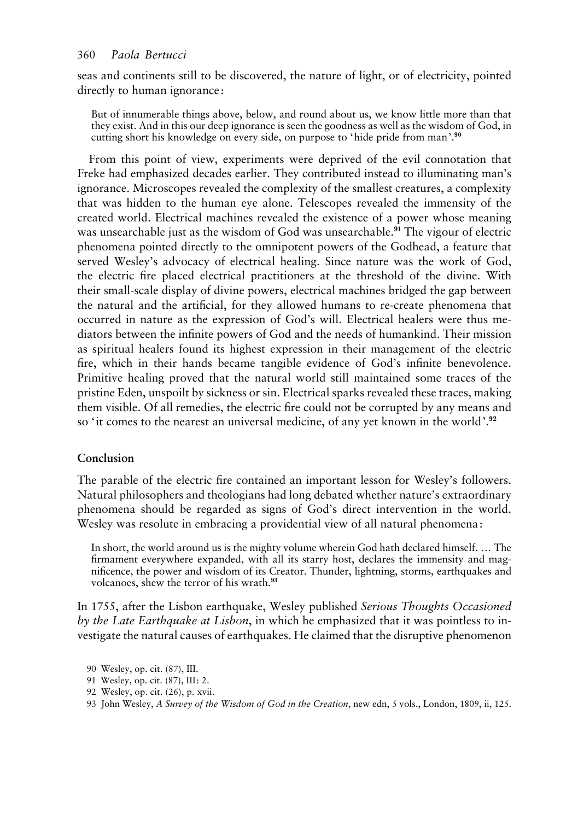seas and continents still to be discovered, the nature of light, or of electricity, pointed directly to human ignorance:

But of innumerable things above, below, and round about us, we know little more than that they exist. And in this our deep ignorance is seen the goodness as well as the wisdom of God, in cutting short his knowledge on every side, on purpose to 'hide pride from man'.<sup>90</sup>

From this point of view, experiments were deprived of the evil connotation that Freke had emphasized decades earlier. They contributed instead to illuminating man's ignorance. Microscopes revealed the complexity of the smallest creatures, a complexity that was hidden to the human eye alone. Telescopes revealed the immensity of the created world. Electrical machines revealed the existence of a power whose meaning was unsearchable just as the wisdom of God was unsearchable.<sup>91</sup> The vigour of electric phenomena pointed directly to the omnipotent powers of the Godhead, a feature that served Wesley's advocacy of electrical healing. Since nature was the work of God, the electric fire placed electrical practitioners at the threshold of the divine. With their small-scale display of divine powers, electrical machines bridged the gap between the natural and the artificial, for they allowed humans to re-create phenomena that occurred in nature as the expression of God's will. Electrical healers were thus mediators between the infinite powers of God and the needs of humankind. Their mission as spiritual healers found its highest expression in their management of the electric fire, which in their hands became tangible evidence of God's infinite benevolence. Primitive healing proved that the natural world still maintained some traces of the pristine Eden, unspoilt by sickness or sin. Electrical sparks revealed these traces, making them visible. Of all remedies, the electric fire could not be corrupted by any means and so 'it comes to the nearest an universal medicine, of any yet known in the world'.<sup>92</sup>

## Conclusion

The parable of the electric fire contained an important lesson for Wesley's followers. Natural philosophers and theologians had long debated whether nature's extraordinary phenomena should be regarded as signs of God's direct intervention in the world. Wesley was resolute in embracing a providential view of all natural phenomena:

In short, the world around us is the mighty volume wherein God hath declared himself. … The firmament everywhere expanded, with all its starry host, declares the immensity and magnificence, the power and wisdom of its Creator. Thunder, lightning, storms, earthquakes and volcanoes, shew the terror of his wrath.<sup>93</sup>

In 1755, after the Lisbon earthquake, Wesley published Serious Thoughts Occasioned by the Late Earthquake at Lisbon, in which he emphasized that it was pointless to investigate the natural causes of earthquakes. He claimed that the disruptive phenomenon

- 91 Wesley, op. cit. (87), III: 2.
- 92 Wesley, op. cit. (26), p. xvii.
- 93 John Wesley, A Survey of the Wisdom of God in the Creation, new edn, 5 vols., London, 1809, ii, 125.

<sup>90</sup> Wesley, op. cit. (87), III.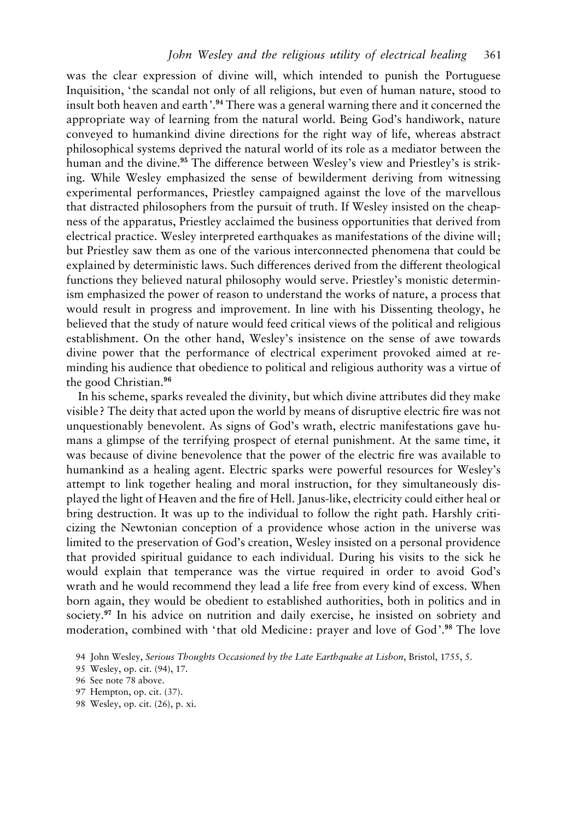was the clear expression of divine will, which intended to punish the Portuguese Inquisition, ' the scandal not only of all religions, but even of human nature, stood to insult both heaven and earth'.<sup>94</sup> There was a general warning there and it concerned the appropriate way of learning from the natural world. Being God's handiwork, nature conveyed to humankind divine directions for the right way of life, whereas abstract philosophical systems deprived the natural world of its role as a mediator between the human and the divine.<sup>95</sup> The difference between Wesley's view and Priestley's is striking. While Wesley emphasized the sense of bewilderment deriving from witnessing experimental performances, Priestley campaigned against the love of the marvellous that distracted philosophers from the pursuit of truth. If Wesley insisted on the cheapness of the apparatus, Priestley acclaimed the business opportunities that derived from electrical practice. Wesley interpreted earthquakes as manifestations of the divine will; but Priestley saw them as one of the various interconnected phenomena that could be explained by deterministic laws. Such differences derived from the different theological functions they believed natural philosophy would serve. Priestley's monistic determinism emphasized the power of reason to understand the works of nature, a process that would result in progress and improvement. In line with his Dissenting theology, he believed that the study of nature would feed critical views of the political and religious establishment. On the other hand, Wesley's insistence on the sense of awe towards divine power that the performance of electrical experiment provoked aimed at reminding his audience that obedience to political and religious authority was a virtue of the good Christian.<sup>96</sup>

In his scheme, sparks revealed the divinity, but which divine attributes did they make visible? The deity that acted upon the world by means of disruptive electric fire was not unquestionably benevolent. As signs of God's wrath, electric manifestations gave humans a glimpse of the terrifying prospect of eternal punishment. At the same time, it was because of divine benevolence that the power of the electric fire was available to humankind as a healing agent. Electric sparks were powerful resources for Wesley's attempt to link together healing and moral instruction, for they simultaneously displayed the light of Heaven and the fire of Hell. Janus-like, electricity could either heal or bring destruction. It was up to the individual to follow the right path. Harshly criticizing the Newtonian conception of a providence whose action in the universe was limited to the preservation of God's creation, Wesley insisted on a personal providence that provided spiritual guidance to each individual. During his visits to the sick he would explain that temperance was the virtue required in order to avoid God's wrath and he would recommend they lead a life free from every kind of excess. When born again, they would be obedient to established authorities, both in politics and in society.<sup>97</sup> In his advice on nutrition and daily exercise, he insisted on sobriety and moderation, combined with ' that old Medicine: prayer and love of God'.<sup>98</sup> The love

98 Wesley, op. cit. (26), p. xi.

<sup>94</sup> John Wesley, Serious Thoughts Occasioned by the Late Earthquake at Lisbon, Bristol, 1755, 5.

<sup>95</sup> Wesley, op. cit. (94), 17.

<sup>96</sup> See note 78 above.

<sup>97</sup> Hempton, op. cit. (37).